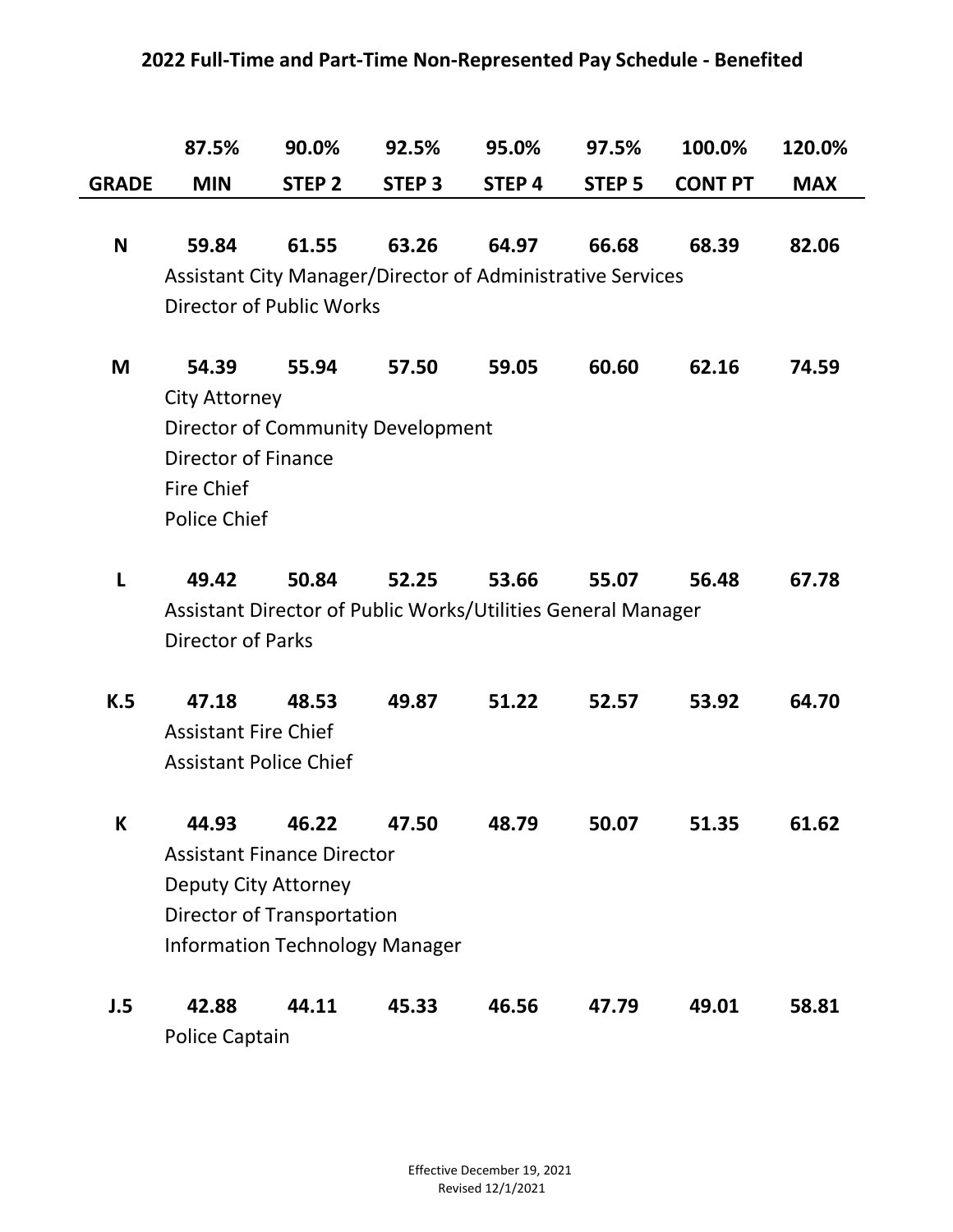## **2022 Full-Time and Part-Time Non-Represented Pay Schedule - Benefited**

|              | 87.5%                         | 90.0%                                                        | 92.5%         | 95.0%  | 97.5%             | 100.0%         | 120.0%     |
|--------------|-------------------------------|--------------------------------------------------------------|---------------|--------|-------------------|----------------|------------|
| <b>GRADE</b> | <b>MIN</b>                    | STEP <sub>2</sub>                                            | <b>STEP 3</b> | STEP 4 | STEP <sub>5</sub> | <b>CONT PT</b> | <b>MAX</b> |
|              |                               |                                                              |               |        |                   |                |            |
| N            | 59.84                         | 61.55                                                        | 63.26         | 64.97  | 66.68             | 68.39          | 82.06      |
|              |                               | Assistant City Manager/Director of Administrative Services   |               |        |                   |                |            |
|              |                               | <b>Director of Public Works</b>                              |               |        |                   |                |            |
|              |                               |                                                              |               |        |                   |                |            |
| M            | 54.39                         | 55.94                                                        | 57.50         | 59.05  | 60.60             | 62.16          | 74.59      |
|              | <b>City Attorney</b>          |                                                              |               |        |                   |                |            |
|              |                               | Director of Community Development                            |               |        |                   |                |            |
|              | <b>Director of Finance</b>    |                                                              |               |        |                   |                |            |
|              | <b>Fire Chief</b>             |                                                              |               |        |                   |                |            |
|              | <b>Police Chief</b>           |                                                              |               |        |                   |                |            |
| L            | 49.42                         | 50.84                                                        | 52.25         | 53.66  | 55.07             | 56.48          | 67.78      |
|              |                               | Assistant Director of Public Works/Utilities General Manager |               |        |                   |                |            |
|              | <b>Director of Parks</b>      |                                                              |               |        |                   |                |            |
|              |                               |                                                              |               |        |                   |                |            |
| K.5          | 47.18                         | 48.53                                                        | 49.87         | 51.22  | 52.57             | 53.92          | 64.70      |
|              | <b>Assistant Fire Chief</b>   |                                                              |               |        |                   |                |            |
|              | <b>Assistant Police Chief</b> |                                                              |               |        |                   |                |            |
|              |                               |                                                              |               |        |                   |                |            |
| К            | 44.93                         | 46.22                                                        | 47.50         | 48.79  | 50.07             | 51.35          | 61.62      |
|              |                               | <b>Assistant Finance Director</b>                            |               |        |                   |                |            |
|              | <b>Deputy City Attorney</b>   |                                                              |               |        |                   |                |            |
|              |                               | Director of Transportation                                   |               |        |                   |                |            |
|              |                               | <b>Information Technology Manager</b>                        |               |        |                   |                |            |
|              |                               |                                                              |               |        |                   |                |            |
| J.5          | 42.88                         | 44.11                                                        | 45.33         | 46.56  | 47.79             | 49.01          | 58.81      |
|              | <b>Police Captain</b>         |                                                              |               |        |                   |                |            |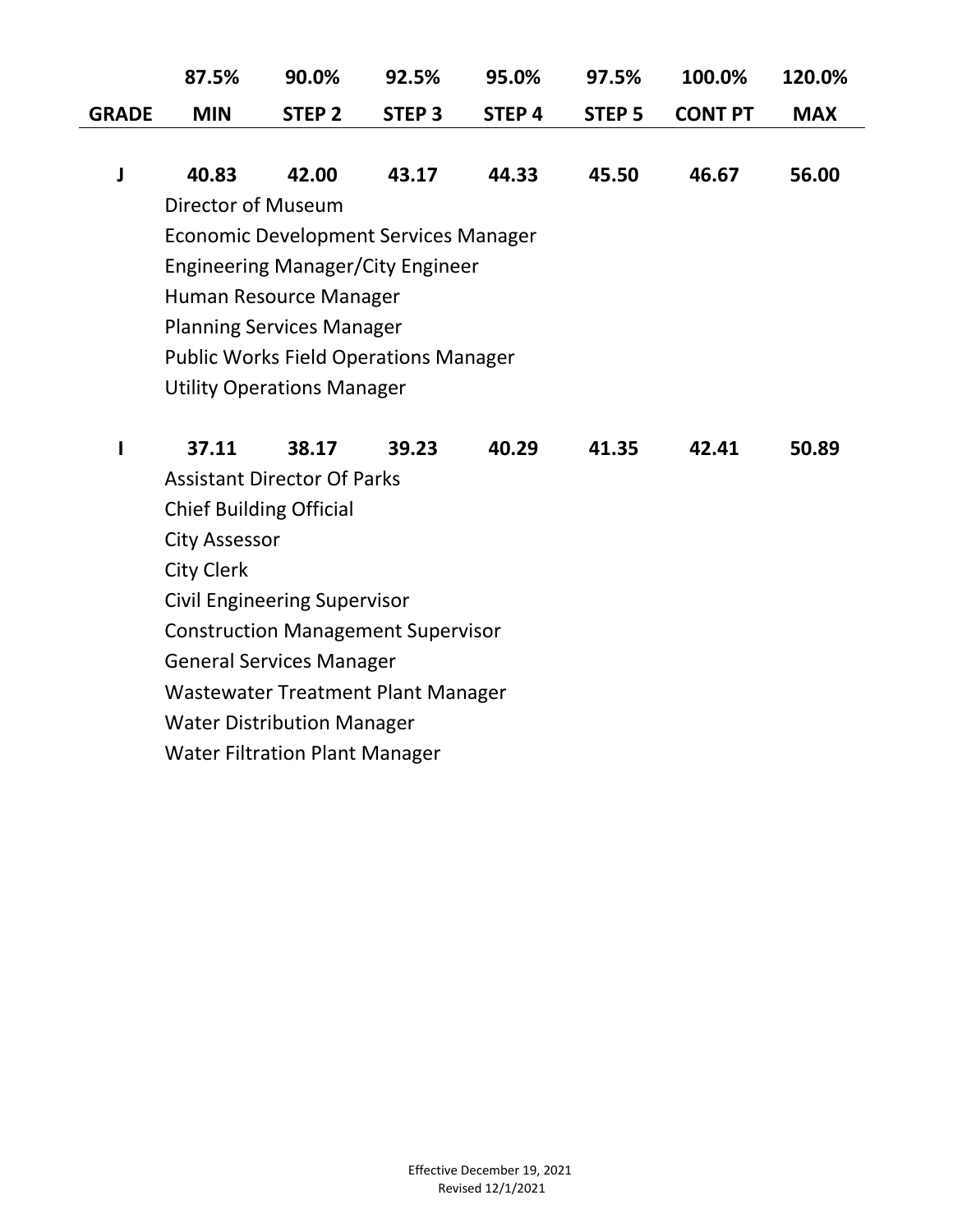|              | 87.5%      | 90.0% | 92.5% | 95.0% | 97.5% | 100.0%                              | 120.0%     |
|--------------|------------|-------|-------|-------|-------|-------------------------------------|------------|
| <b>GRADE</b> | <b>MIN</b> |       |       |       |       | STEP 2 STEP 3 STEP 4 STEP 5 CONT PT | <b>MAX</b> |

**J 40.83 42.00 43.17 44.33 45.50 46.67 56.00** Director of Museum Economic Development Services Manager Engineering Manager/City Engineer Human Resource Manager Planning Services Manager Public Works Field Operations Manager Utility Operations Manager

| 37.11                          | 38.17                                     | 39.23 | 40.29 | 41.35 | 42.41 | 50.89 |
|--------------------------------|-------------------------------------------|-------|-------|-------|-------|-------|
|                                | <b>Assistant Director Of Parks</b>        |       |       |       |       |       |
| <b>Chief Building Official</b> |                                           |       |       |       |       |       |
| City Assessor                  |                                           |       |       |       |       |       |
| <b>City Clerk</b>              |                                           |       |       |       |       |       |
|                                | <b>Civil Engineering Supervisor</b>       |       |       |       |       |       |
|                                | <b>Construction Management Supervisor</b> |       |       |       |       |       |
|                                | <b>General Services Manager</b>           |       |       |       |       |       |
|                                | Wastewater Treatment Plant Manager        |       |       |       |       |       |
|                                | <b>Water Distribution Manager</b>         |       |       |       |       |       |
|                                | <b>Water Filtration Plant Manager</b>     |       |       |       |       |       |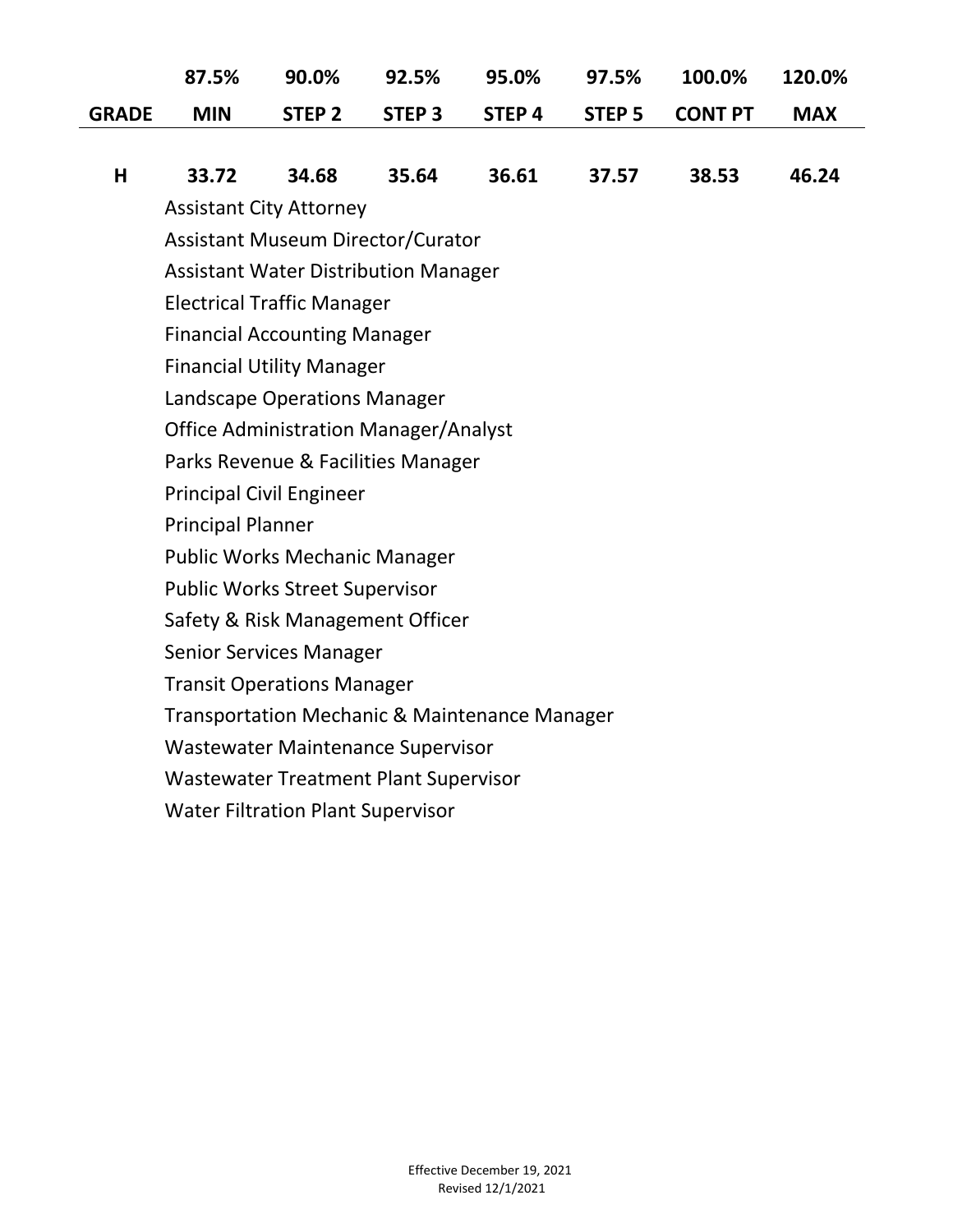|              | 87.5%      | 90.0% | 92.5% | 95.0% | 97.5% | 100.0%                              | 120.0%     |
|--------------|------------|-------|-------|-------|-------|-------------------------------------|------------|
| <b>GRADE</b> | <b>MIN</b> |       |       |       |       | STEP 2 STEP 3 STEP 4 STEP 5 CONT PT | <b>MAX</b> |

|  |  |  |  |  |  |  | H 33.72 34.68 35.64 36.61 37.57 38.53 46.24 |  |
|--|--|--|--|--|--|--|---------------------------------------------|--|
|--|--|--|--|--|--|--|---------------------------------------------|--|

Assistant City Attorney

Assistant Museum Director/Curator

Assistant Water Distribution Manager

Electrical Traffic Manager

Financial Accounting Manager

Financial Utility Manager

Landscape Operations Manager

Office Administration Manager/Analyst

Parks Revenue & Facilities Manager

Principal Civil Engineer

Principal Planner

Public Works Mechanic Manager

Public Works Street Supervisor

Safety & Risk Management Officer

Senior Services Manager

Transit Operations Manager

Transportation Mechanic & Maintenance Manager

Wastewater Maintenance Supervisor

Wastewater Treatment Plant Supervisor

Water Filtration Plant Supervisor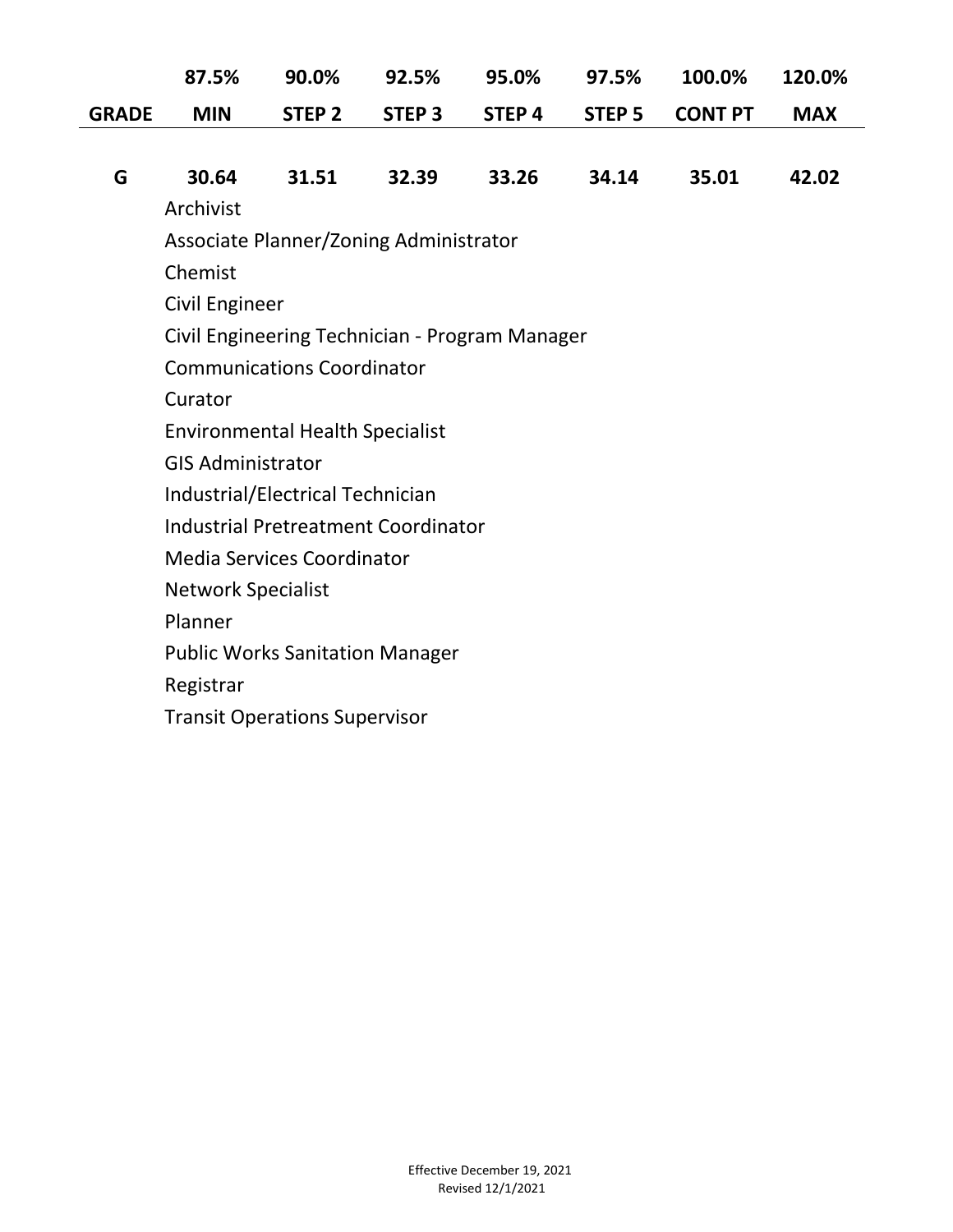|              | 87.5%                     | 90.0%                                      | 92.5%         | 95.0%                                          | 97.5%         | 100.0%         | 120.0%     |
|--------------|---------------------------|--------------------------------------------|---------------|------------------------------------------------|---------------|----------------|------------|
| <b>GRADE</b> | <b>MIN</b>                | STEP <sub>2</sub>                          | <b>STEP 3</b> | STEP <sub>4</sub>                              | <b>STEP 5</b> | <b>CONT PT</b> | <b>MAX</b> |
|              |                           |                                            |               |                                                |               |                |            |
| G            | 30.64                     | 31.51                                      | 32.39         | 33.26                                          | 34.14         | 35.01          | 42.02      |
|              | Archivist                 |                                            |               |                                                |               |                |            |
|              |                           | Associate Planner/Zoning Administrator     |               |                                                |               |                |            |
|              | Chemist                   |                                            |               |                                                |               |                |            |
|              | <b>Civil Engineer</b>     |                                            |               |                                                |               |                |            |
|              |                           |                                            |               | Civil Engineering Technician - Program Manager |               |                |            |
|              |                           | <b>Communications Coordinator</b>          |               |                                                |               |                |            |
|              | Curator                   |                                            |               |                                                |               |                |            |
|              |                           | <b>Environmental Health Specialist</b>     |               |                                                |               |                |            |
|              | <b>GIS Administrator</b>  |                                            |               |                                                |               |                |            |
|              |                           | Industrial/Electrical Technician           |               |                                                |               |                |            |
|              |                           | <b>Industrial Pretreatment Coordinator</b> |               |                                                |               |                |            |
|              |                           | <b>Media Services Coordinator</b>          |               |                                                |               |                |            |
|              | <b>Network Specialist</b> |                                            |               |                                                |               |                |            |
|              | Planner                   |                                            |               |                                                |               |                |            |
|              |                           | <b>Public Works Sanitation Manager</b>     |               |                                                |               |                |            |
|              | Registrar                 |                                            |               |                                                |               |                |            |
|              |                           | <b>Transit Operations Supervisor</b>       |               |                                                |               |                |            |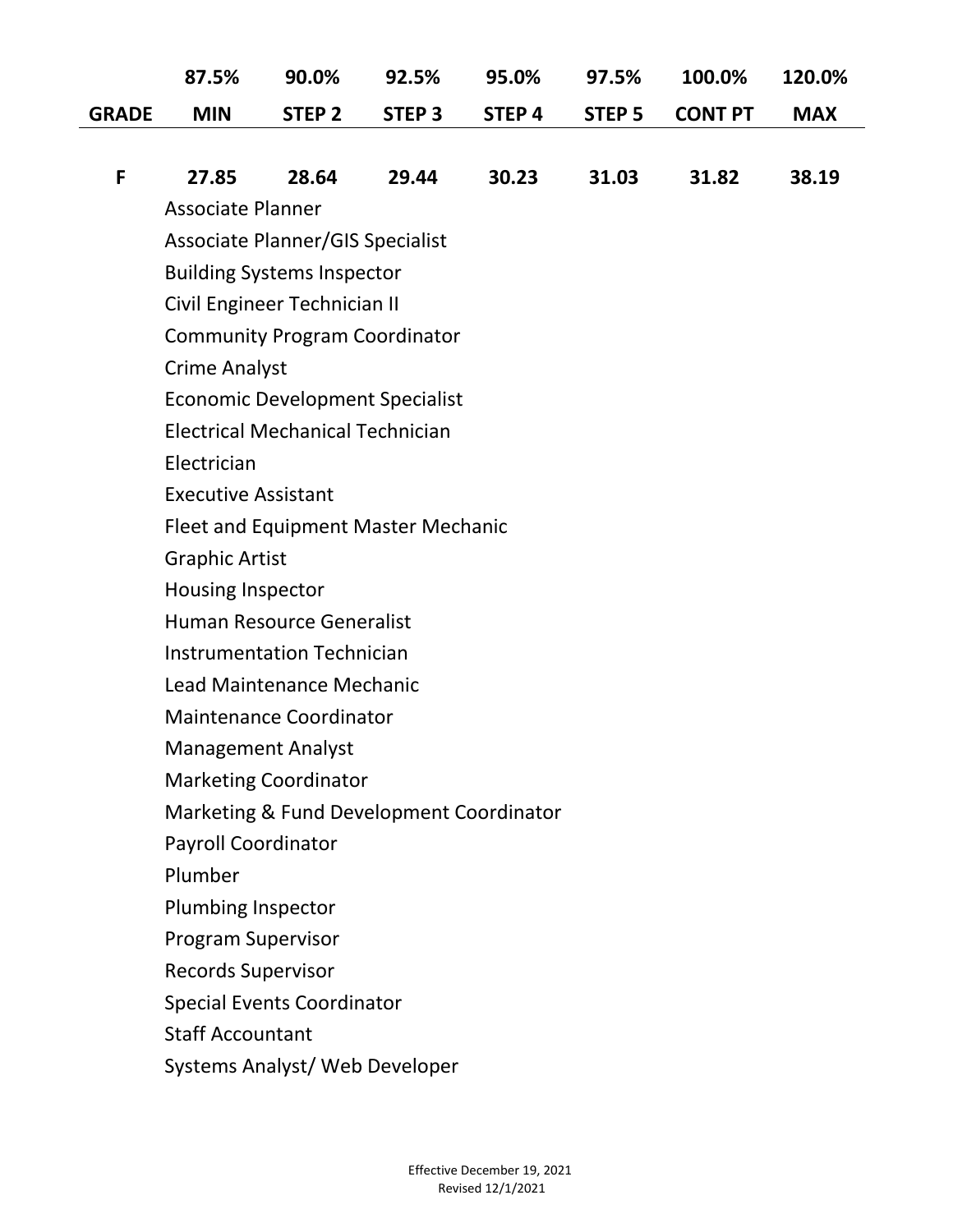|              | 87.5%                                      | 90.0%                                   | 92.5%             | 95.0%  | 97.5%             | 100.0%         | 120.0%     |  |  |  |
|--------------|--------------------------------------------|-----------------------------------------|-------------------|--------|-------------------|----------------|------------|--|--|--|
| <b>GRADE</b> | <b>MIN</b>                                 | STEP <sub>2</sub>                       | STEP <sub>3</sub> | STEP 4 | STEP <sub>5</sub> | <b>CONT PT</b> | <b>MAX</b> |  |  |  |
|              |                                            |                                         |                   |        |                   |                |            |  |  |  |
| F            | 27.85                                      | 28.64                                   | 29.44             | 30.23  | 31.03             | 31.82          | 38.19      |  |  |  |
|              | <b>Associate Planner</b>                   |                                         |                   |        |                   |                |            |  |  |  |
|              | Associate Planner/GIS Specialist           |                                         |                   |        |                   |                |            |  |  |  |
|              | <b>Building Systems Inspector</b>          |                                         |                   |        |                   |                |            |  |  |  |
|              | Civil Engineer Technician II               |                                         |                   |        |                   |                |            |  |  |  |
|              | <b>Community Program Coordinator</b>       |                                         |                   |        |                   |                |            |  |  |  |
|              | <b>Crime Analyst</b>                       |                                         |                   |        |                   |                |            |  |  |  |
|              |                                            | <b>Economic Development Specialist</b>  |                   |        |                   |                |            |  |  |  |
|              |                                            | <b>Electrical Mechanical Technician</b> |                   |        |                   |                |            |  |  |  |
|              | Electrician                                |                                         |                   |        |                   |                |            |  |  |  |
|              | <b>Executive Assistant</b>                 |                                         |                   |        |                   |                |            |  |  |  |
|              | <b>Fleet and Equipment Master Mechanic</b> |                                         |                   |        |                   |                |            |  |  |  |
|              | <b>Graphic Artist</b>                      |                                         |                   |        |                   |                |            |  |  |  |
|              | Housing Inspector                          |                                         |                   |        |                   |                |            |  |  |  |
|              | <b>Human Resource Generalist</b>           |                                         |                   |        |                   |                |            |  |  |  |
|              |                                            | <b>Instrumentation Technician</b>       |                   |        |                   |                |            |  |  |  |
|              |                                            | Lead Maintenance Mechanic               |                   |        |                   |                |            |  |  |  |
|              | <b>Maintenance Coordinator</b>             |                                         |                   |        |                   |                |            |  |  |  |
|              | <b>Management Analyst</b>                  |                                         |                   |        |                   |                |            |  |  |  |
|              | <b>Marketing Coordinator</b>               |                                         |                   |        |                   |                |            |  |  |  |
|              | Marketing & Fund Development Coordinator   |                                         |                   |        |                   |                |            |  |  |  |
|              | <b>Payroll Coordinator</b>                 |                                         |                   |        |                   |                |            |  |  |  |
|              | Plumber                                    |                                         |                   |        |                   |                |            |  |  |  |
|              | Plumbing Inspector                         |                                         |                   |        |                   |                |            |  |  |  |
|              | <b>Program Supervisor</b>                  |                                         |                   |        |                   |                |            |  |  |  |
|              | <b>Records Supervisor</b>                  |                                         |                   |        |                   |                |            |  |  |  |
|              |                                            | <b>Special Events Coordinator</b>       |                   |        |                   |                |            |  |  |  |
|              | <b>Staff Accountant</b>                    |                                         |                   |        |                   |                |            |  |  |  |
|              |                                            | Systems Analyst/ Web Developer          |                   |        |                   |                |            |  |  |  |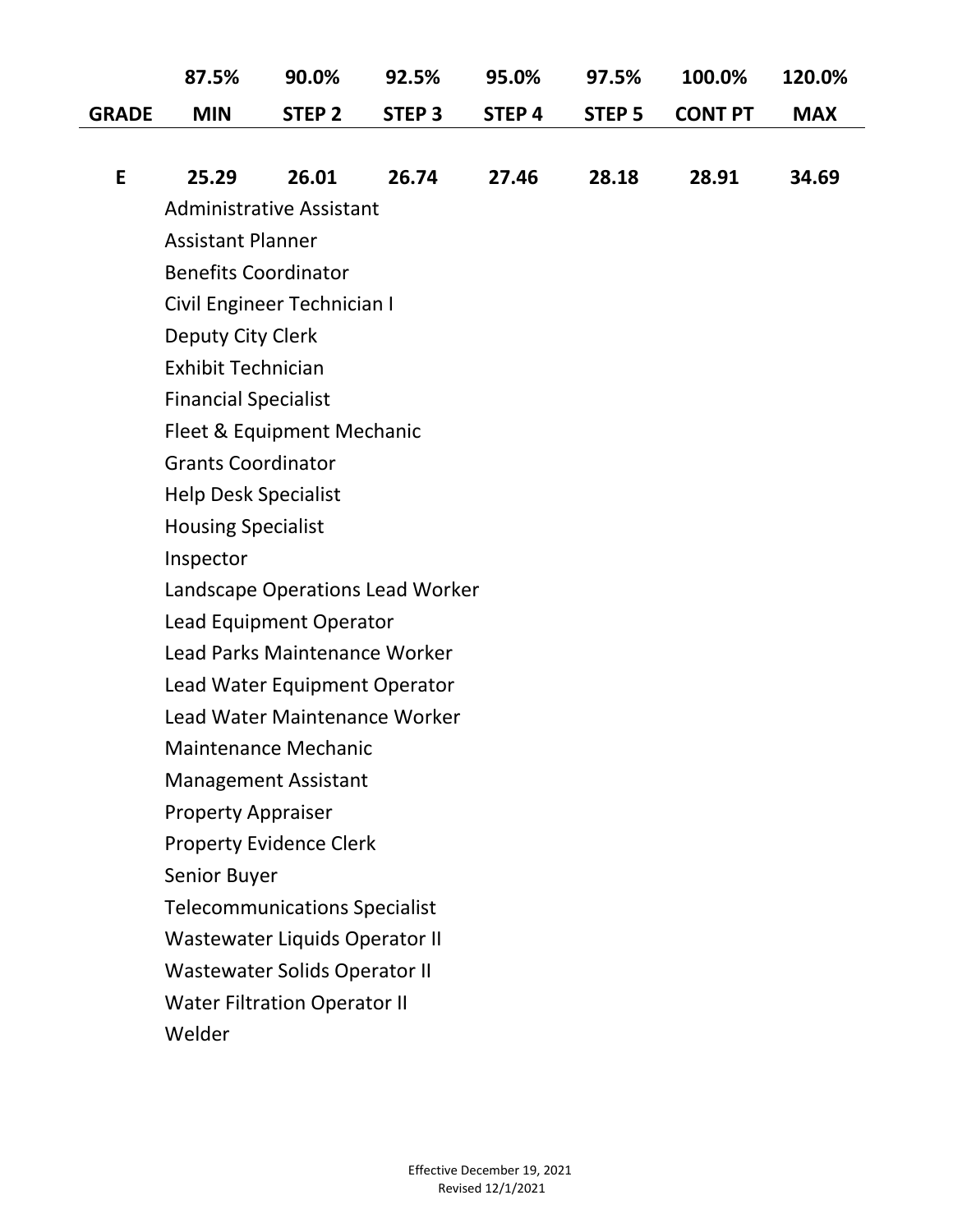|              | 87.5%                       | 90.0%                                | 92.5%             | 95.0%             | 97.5%             | 100.0%         | 120.0%     |
|--------------|-----------------------------|--------------------------------------|-------------------|-------------------|-------------------|----------------|------------|
| <b>GRADE</b> | <b>MIN</b>                  | STEP <sub>2</sub>                    | STEP <sub>3</sub> | STEP <sub>4</sub> | STEP <sub>5</sub> | <b>CONT PT</b> | <b>MAX</b> |
|              |                             |                                      |                   |                   |                   |                |            |
| E            | 25.29                       | 26.01                                | 26.74             | 27.46             | 28.18             | 28.91          | 34.69      |
|              |                             | <b>Administrative Assistant</b>      |                   |                   |                   |                |            |
|              | <b>Assistant Planner</b>    |                                      |                   |                   |                   |                |            |
|              | <b>Benefits Coordinator</b> |                                      |                   |                   |                   |                |            |
|              |                             | Civil Engineer Technician I          |                   |                   |                   |                |            |
|              | Deputy City Clerk           |                                      |                   |                   |                   |                |            |
|              | <b>Exhibit Technician</b>   |                                      |                   |                   |                   |                |            |
|              | <b>Financial Specialist</b> |                                      |                   |                   |                   |                |            |
|              |                             | Fleet & Equipment Mechanic           |                   |                   |                   |                |            |
|              | <b>Grants Coordinator</b>   |                                      |                   |                   |                   |                |            |
|              | <b>Help Desk Specialist</b> |                                      |                   |                   |                   |                |            |
|              | <b>Housing Specialist</b>   |                                      |                   |                   |                   |                |            |
|              | Inspector                   |                                      |                   |                   |                   |                |            |
|              |                             | Landscape Operations Lead Worker     |                   |                   |                   |                |            |
|              |                             | Lead Equipment Operator              |                   |                   |                   |                |            |
|              |                             | Lead Parks Maintenance Worker        |                   |                   |                   |                |            |
|              |                             | Lead Water Equipment Operator        |                   |                   |                   |                |            |
|              |                             | Lead Water Maintenance Worker        |                   |                   |                   |                |            |
|              |                             | Maintenance Mechanic                 |                   |                   |                   |                |            |
|              |                             | <b>Management Assistant</b>          |                   |                   |                   |                |            |
|              | <b>Property Appraiser</b>   |                                      |                   |                   |                   |                |            |
|              |                             | <b>Property Evidence Clerk</b>       |                   |                   |                   |                |            |
|              | Senior Buyer                |                                      |                   |                   |                   |                |            |
|              |                             | <b>Telecommunications Specialist</b> |                   |                   |                   |                |            |
|              |                             | Wastewater Liquids Operator II       |                   |                   |                   |                |            |
|              |                             | <b>Wastewater Solids Operator II</b> |                   |                   |                   |                |            |
|              |                             | <b>Water Filtration Operator II</b>  |                   |                   |                   |                |            |

Welder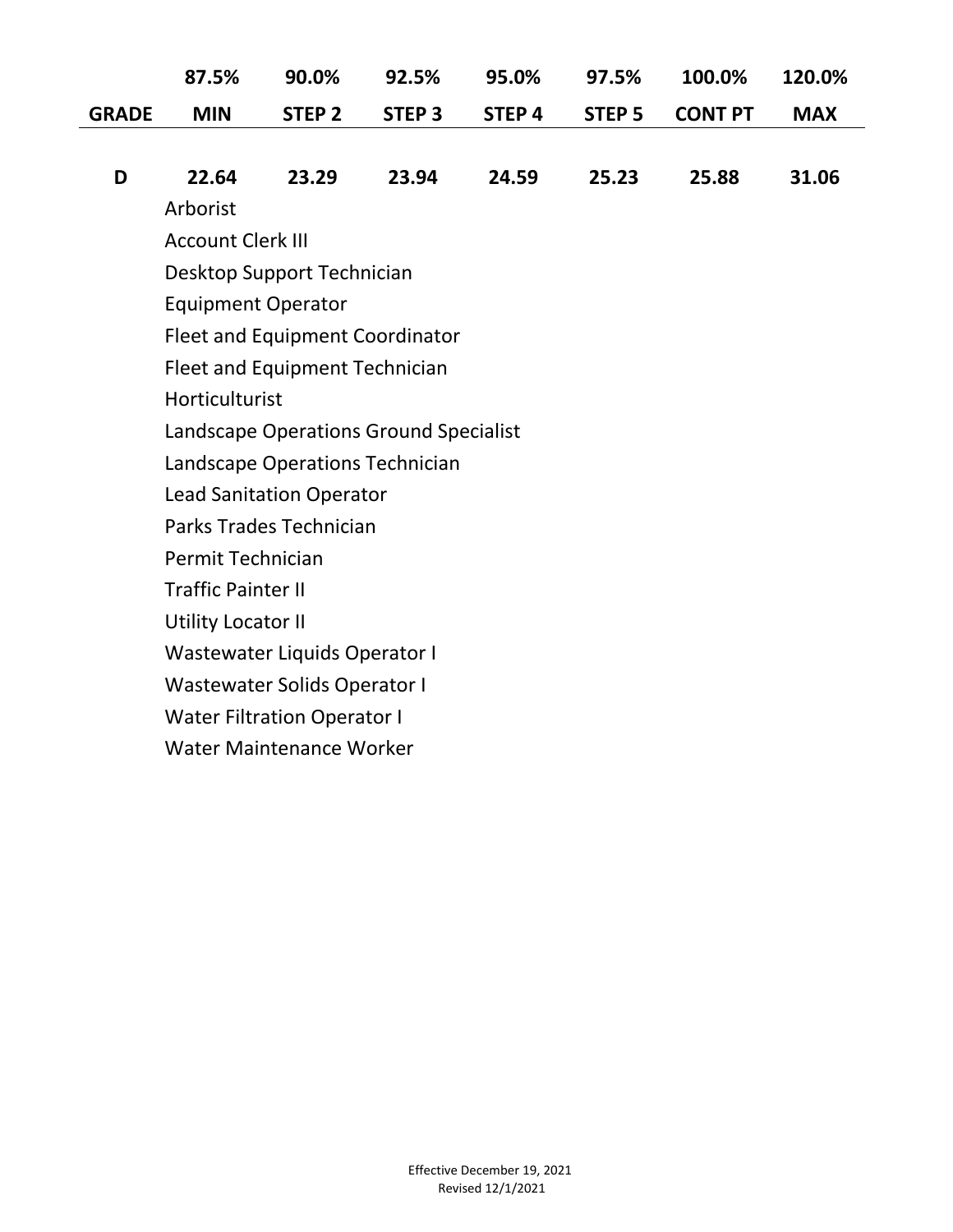|              | 87.5%                                  | 90.0%                               | 92.5%                           | 95.0%             | 97.5%         | 100.0%         | 120.0%     |  |  |
|--------------|----------------------------------------|-------------------------------------|---------------------------------|-------------------|---------------|----------------|------------|--|--|
| <b>GRADE</b> | <b>MIN</b>                             | STEP <sub>2</sub>                   | STEP <sub>3</sub>               | STEP <sub>4</sub> | <b>STEP 5</b> | <b>CONT PT</b> | <b>MAX</b> |  |  |
|              |                                        |                                     |                                 |                   |               |                |            |  |  |
| D            | 22.64                                  | 23.29                               | 23.94                           | 24.59             | 25.23         | 25.88          | 31.06      |  |  |
|              | Arborist                               |                                     |                                 |                   |               |                |            |  |  |
|              | <b>Account Clerk III</b>               |                                     |                                 |                   |               |                |            |  |  |
|              |                                        | Desktop Support Technician          |                                 |                   |               |                |            |  |  |
|              | <b>Equipment Operator</b>              |                                     |                                 |                   |               |                |            |  |  |
|              |                                        |                                     | Fleet and Equipment Coordinator |                   |               |                |            |  |  |
|              |                                        | Fleet and Equipment Technician      |                                 |                   |               |                |            |  |  |
|              | Horticulturist                         |                                     |                                 |                   |               |                |            |  |  |
|              | Landscape Operations Ground Specialist |                                     |                                 |                   |               |                |            |  |  |
|              | Landscape Operations Technician        |                                     |                                 |                   |               |                |            |  |  |
|              |                                        | <b>Lead Sanitation Operator</b>     |                                 |                   |               |                |            |  |  |
|              |                                        | Parks Trades Technician             |                                 |                   |               |                |            |  |  |
|              | Permit Technician                      |                                     |                                 |                   |               |                |            |  |  |
|              | <b>Traffic Painter II</b>              |                                     |                                 |                   |               |                |            |  |  |
|              | <b>Utility Locator II</b>              |                                     |                                 |                   |               |                |            |  |  |
|              |                                        | Wastewater Liquids Operator I       |                                 |                   |               |                |            |  |  |
|              |                                        | <b>Wastewater Solids Operator I</b> |                                 |                   |               |                |            |  |  |
|              |                                        | <b>Water Filtration Operator I</b>  |                                 |                   |               |                |            |  |  |
|              |                                        | <b>Water Maintenance Worker</b>     |                                 |                   |               |                |            |  |  |
|              |                                        |                                     |                                 |                   |               |                |            |  |  |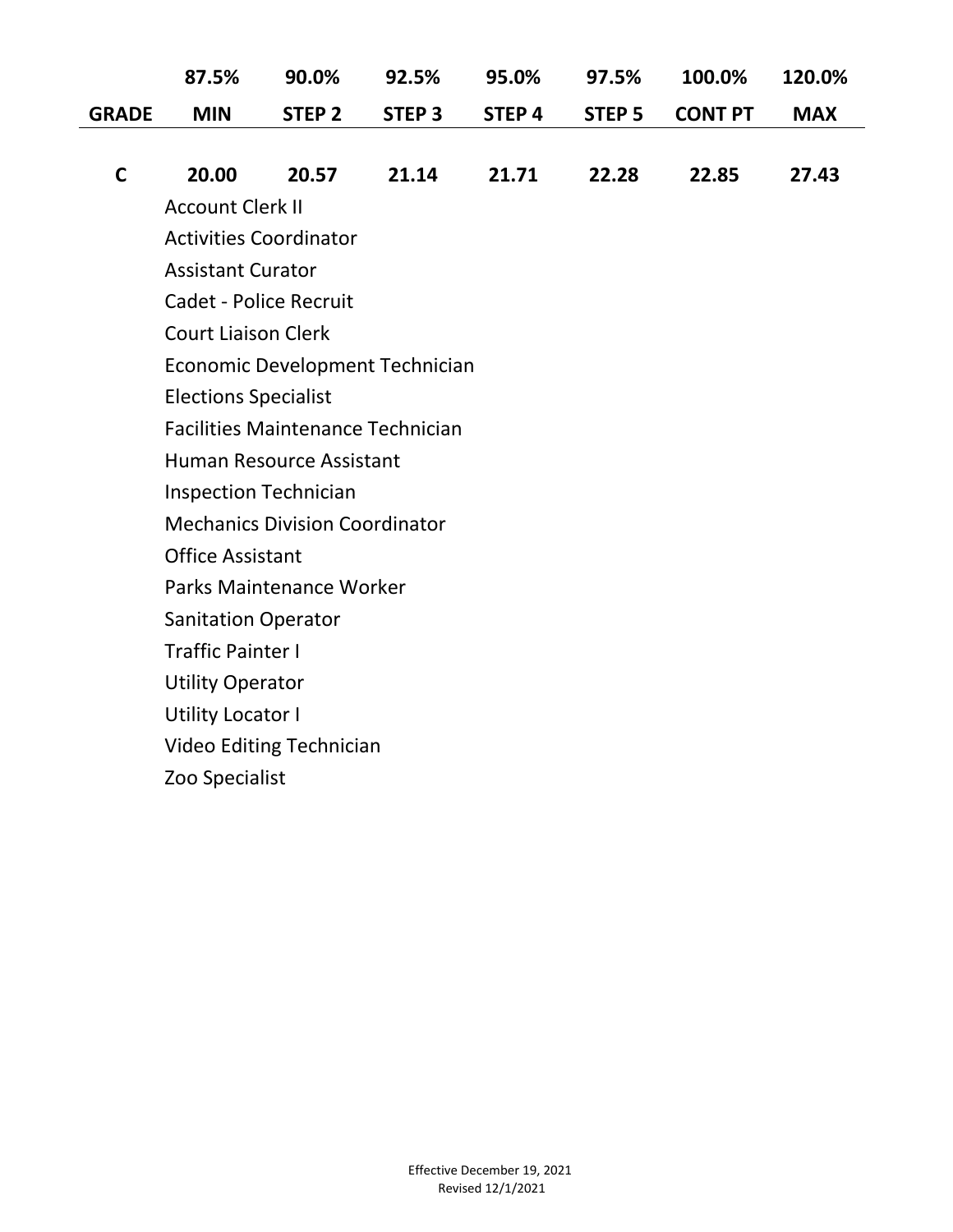|              | 87.5%                                    | 90.0%                    | 92.5%                           | 95.0%             | 97.5%         | 100.0%         | 120.0%     |  |  |  |
|--------------|------------------------------------------|--------------------------|---------------------------------|-------------------|---------------|----------------|------------|--|--|--|
| <b>GRADE</b> | <b>MIN</b>                               | STEP <sub>2</sub>        | <b>STEP 3</b>                   | STEP <sub>4</sub> | <b>STEP 5</b> | <b>CONT PT</b> | <b>MAX</b> |  |  |  |
|              |                                          |                          |                                 |                   |               |                |            |  |  |  |
| $\mathsf{C}$ | 20.00                                    | 20.57                    | 21.14                           | 21.71             | 22.28         | 22.85          | 27.43      |  |  |  |
|              | <b>Account Clerk II</b>                  |                          |                                 |                   |               |                |            |  |  |  |
|              | <b>Activities Coordinator</b>            |                          |                                 |                   |               |                |            |  |  |  |
|              | <b>Assistant Curator</b>                 |                          |                                 |                   |               |                |            |  |  |  |
|              | <b>Cadet - Police Recruit</b>            |                          |                                 |                   |               |                |            |  |  |  |
|              | <b>Court Liaison Clerk</b>               |                          |                                 |                   |               |                |            |  |  |  |
|              |                                          |                          | Economic Development Technician |                   |               |                |            |  |  |  |
|              | <b>Elections Specialist</b>              |                          |                                 |                   |               |                |            |  |  |  |
|              | <b>Facilities Maintenance Technician</b> |                          |                                 |                   |               |                |            |  |  |  |
|              | <b>Human Resource Assistant</b>          |                          |                                 |                   |               |                |            |  |  |  |
|              | <b>Inspection Technician</b>             |                          |                                 |                   |               |                |            |  |  |  |
|              | <b>Mechanics Division Coordinator</b>    |                          |                                 |                   |               |                |            |  |  |  |
|              | <b>Office Assistant</b>                  |                          |                                 |                   |               |                |            |  |  |  |
|              |                                          | Parks Maintenance Worker |                                 |                   |               |                |            |  |  |  |
|              | <b>Sanitation Operator</b>               |                          |                                 |                   |               |                |            |  |  |  |
|              | <b>Traffic Painter I</b>                 |                          |                                 |                   |               |                |            |  |  |  |
|              | <b>Utility Operator</b>                  |                          |                                 |                   |               |                |            |  |  |  |
|              | <b>Utility Locator I</b>                 |                          |                                 |                   |               |                |            |  |  |  |
|              | <b>Video Editing Technician</b>          |                          |                                 |                   |               |                |            |  |  |  |
|              | Zoo Specialist                           |                          |                                 |                   |               |                |            |  |  |  |
|              |                                          |                          |                                 |                   |               |                |            |  |  |  |